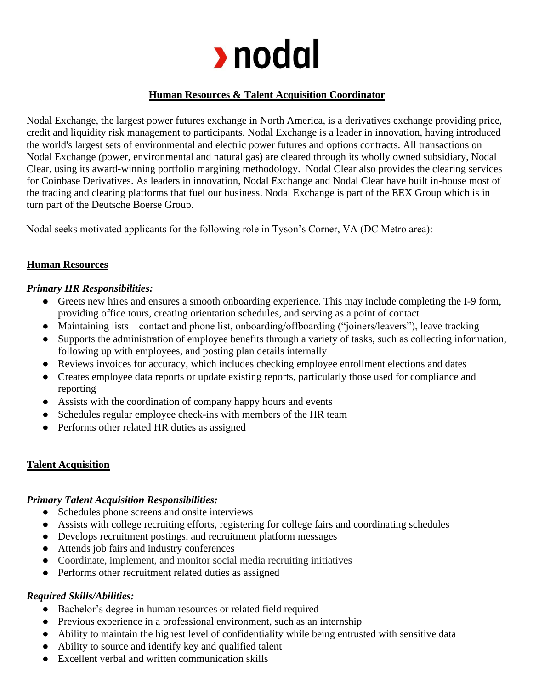

# **Human Resources & Talent Acquisition Coordinator**

Nodal Exchange, the largest power futures exchange in North America, is a derivatives exchange providing price, credit and liquidity risk management to participants. Nodal Exchange is a leader in innovation, having introduced the world's largest sets of environmental and electric power futures and options contracts. All transactions on Nodal Exchange (power, environmental and natural gas) are cleared through its wholly owned subsidiary, Nodal Clear, using its award-winning portfolio margining methodology. Nodal Clear also provides the clearing services for Coinbase Derivatives. As leaders in innovation, Nodal Exchange and Nodal Clear have built in-house most of the trading and clearing platforms that fuel our business. Nodal Exchange is part of the EEX Group which is in turn part of the Deutsche Boerse Group.

Nodal seeks motivated applicants for the following role in Tyson's Corner, VA (DC Metro area):

## **Human Resources**

### *Primary HR Responsibilities:*

- Greets new hires and ensures a smooth onboarding experience. This may include completing the I-9 form, providing office tours, creating orientation schedules, and serving as a point of contact
- Maintaining lists contact and phone list, onboarding/offboarding ("joiners/leavers"), leave tracking
- Supports the administration of employee benefits through a variety of tasks, such as collecting information, following up with employees, and posting plan details internally
- Reviews invoices for accuracy, which includes checking employee enrollment elections and dates
- Creates employee data reports or update existing reports, particularly those used for compliance and reporting
- Assists with the coordination of company happy hours and events
- Schedules regular employee check-ins with members of the HR team
- Performs other related HR duties as assigned

## **Talent Acquisition**

## *Primary Talent Acquisition Responsibilities:*

- Schedules phone screens and onsite interviews
- Assists with college recruiting efforts, registering for college fairs and coordinating schedules
- Develops recruitment postings, and recruitment platform messages
- Attends job fairs and industry conferences
- Coordinate, implement, and monitor social media recruiting initiatives
- Performs other recruitment related duties as assigned

## *Required Skills/Abilities:*

- Bachelor's degree in human resources or related field required
- Previous experience in a professional environment, such as an internship
- Ability to maintain the highest level of confidentiality while being entrusted with sensitive data
- Ability to source and identify key and qualified talent
- Excellent verbal and written communication skills